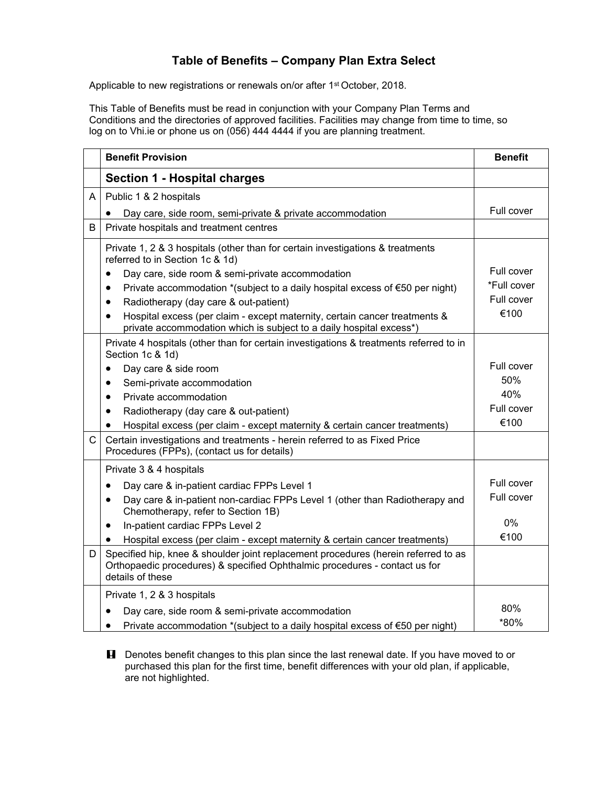## **Table of Benefits – Company Plan Extra Select**

Applicable to new registrations or renewals on/or after 1<sup>st</sup> October, 2018.

This Table of Benefits must be read in conjunction with your Company Plan Terms and Conditions and the directories of approved facilities. Facilities may change from time to time, so log on to Vhi.ie or phone us on (056) 444 4444 if you are planning treatment.

|              | <b>Benefit Provision</b>                                                                                                                                                             | <b>Benefit</b> |
|--------------|--------------------------------------------------------------------------------------------------------------------------------------------------------------------------------------|----------------|
|              | <b>Section 1 - Hospital charges</b>                                                                                                                                                  |                |
| Α            | Public 1 & 2 hospitals                                                                                                                                                               |                |
|              | Day care, side room, semi-private & private accommodation                                                                                                                            | Full cover     |
| B            | Private hospitals and treatment centres                                                                                                                                              |                |
|              | Private 1, 2 & 3 hospitals (other than for certain investigations & treatments<br>referred to in Section 1c & 1d)                                                                    |                |
|              | Day care, side room & semi-private accommodation<br>$\bullet$                                                                                                                        | Full cover     |
|              | Private accommodation *(subject to a daily hospital excess of €50 per night)<br>٠                                                                                                    | *Full cover    |
|              | Radiotherapy (day care & out-patient)<br>$\bullet$                                                                                                                                   | Full cover     |
|              | Hospital excess (per claim - except maternity, certain cancer treatments &<br>$\bullet$<br>private accommodation which is subject to a daily hospital excess*)                       | €100           |
|              | Private 4 hospitals (other than for certain investigations & treatments referred to in<br>Section 1c & 1d)                                                                           |                |
|              | Day care & side room<br>$\bullet$                                                                                                                                                    | Full cover     |
|              | Semi-private accommodation<br>$\bullet$                                                                                                                                              | 50%            |
|              | Private accommodation<br>$\bullet$                                                                                                                                                   | 40%            |
|              | Radiotherapy (day care & out-patient)<br>$\bullet$                                                                                                                                   | Full cover     |
|              | Hospital excess (per claim - except maternity & certain cancer treatments)<br>$\bullet$                                                                                              | €100           |
| $\mathsf{C}$ | Certain investigations and treatments - herein referred to as Fixed Price<br>Procedures (FPPs), (contact us for details)                                                             |                |
|              | Private 3 & 4 hospitals                                                                                                                                                              |                |
|              | Day care & in-patient cardiac FPPs Level 1<br>$\bullet$                                                                                                                              | Full cover     |
|              | Day care & in-patient non-cardiac FPPs Level 1 (other than Radiotherapy and<br>$\bullet$<br>Chemotherapy, refer to Section 1B)                                                       | Full cover     |
|              | In-patient cardiac FPPs Level 2<br>$\bullet$                                                                                                                                         | $0\%$          |
|              | Hospital excess (per claim - except maternity & certain cancer treatments)<br>$\bullet$                                                                                              | €100           |
| D            | Specified hip, knee & shoulder joint replacement procedures (herein referred to as<br>Orthopaedic procedures) & specified Ophthalmic procedures - contact us for<br>details of these |                |
|              | Private 1, 2 & 3 hospitals                                                                                                                                                           |                |
|              | Day care, side room & semi-private accommodation                                                                                                                                     | 80%            |
|              | Private accommodation *(subject to a daily hospital excess of €50 per night)<br>$\bullet$                                                                                            | *80%           |

**H** Denotes benefit changes to this plan since the last renewal date. If you have moved to or purchased this plan for the first time, benefit differences with your old plan, if applicable, are not highlighted.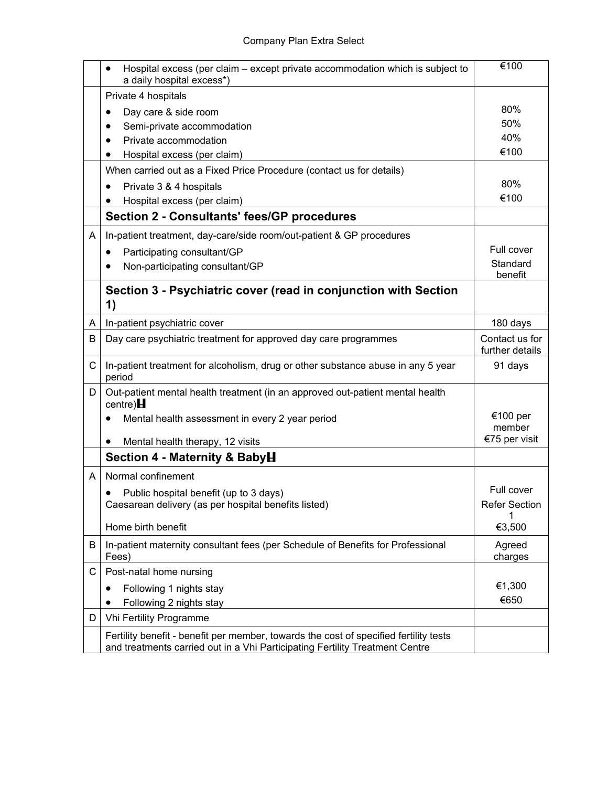|   | Hospital excess (per claim – except private accommodation which is subject to<br>a daily hospital excess*) | €100                              |
|---|------------------------------------------------------------------------------------------------------------|-----------------------------------|
|   | Private 4 hospitals                                                                                        |                                   |
|   | Day care & side room                                                                                       | 80%                               |
|   | Semi-private accommodation                                                                                 | 50%                               |
|   | Private accommodation                                                                                      | 40%                               |
|   | Hospital excess (per claim)                                                                                | €100                              |
|   | When carried out as a Fixed Price Procedure (contact us for details)                                       |                                   |
|   | Private 3 & 4 hospitals                                                                                    | 80%                               |
|   | Hospital excess (per claim)                                                                                | €100                              |
|   | <b>Section 2 - Consultants' fees/GP procedures</b>                                                         |                                   |
| A | In-patient treatment, day-care/side room/out-patient & GP procedures                                       |                                   |
|   | Participating consultant/GP<br>٠                                                                           | Full cover                        |
|   | Non-participating consultant/GP                                                                            | Standard<br>benefit               |
|   | Section 3 - Psychiatric cover (read in conjunction with Section<br>1)                                      |                                   |
| A | In-patient psychiatric cover                                                                               | 180 days                          |
| B | Day care psychiatric treatment for approved day care programmes                                            | Contact us for<br>further details |
| C | In-patient treatment for alcoholism, drug or other substance abuse in any 5 year<br>period                 | 91 days                           |
| D | Out-patient mental health treatment (in an approved out-patient mental health<br>centre) $\blacksquare$    |                                   |
|   | Mental health assessment in every 2 year period                                                            | €100 per                          |
|   |                                                                                                            | member                            |
|   | Mental health therapy, 12 visits                                                                           | €75 per visit                     |
|   | Section 4 - Maternity & BabyH                                                                              |                                   |
| A | Normal confinement                                                                                         |                                   |
|   | Public hospital benefit (up to 3 days)                                                                     | Full cover                        |
|   | Caesarean delivery (as per hospital benefits listed)                                                       | <b>Refer Section</b>              |
|   | Home birth benefit                                                                                         | 1<br>€3,500                       |
| B | In-patient maternity consultant fees (per Schedule of Benefits for Professional<br>Fees)                   | Agreed<br>charges                 |
| C | Post-natal home nursing                                                                                    |                                   |
|   | Following 1 nights stay                                                                                    | €1,300                            |
|   | Following 2 nights stay                                                                                    | €650                              |
| D | Vhi Fertility Programme                                                                                    |                                   |
|   | Fertility benefit - benefit per member, towards the cost of specified fertility tests                      |                                   |
|   | and treatments carried out in a Vhi Participating Fertility Treatment Centre                               |                                   |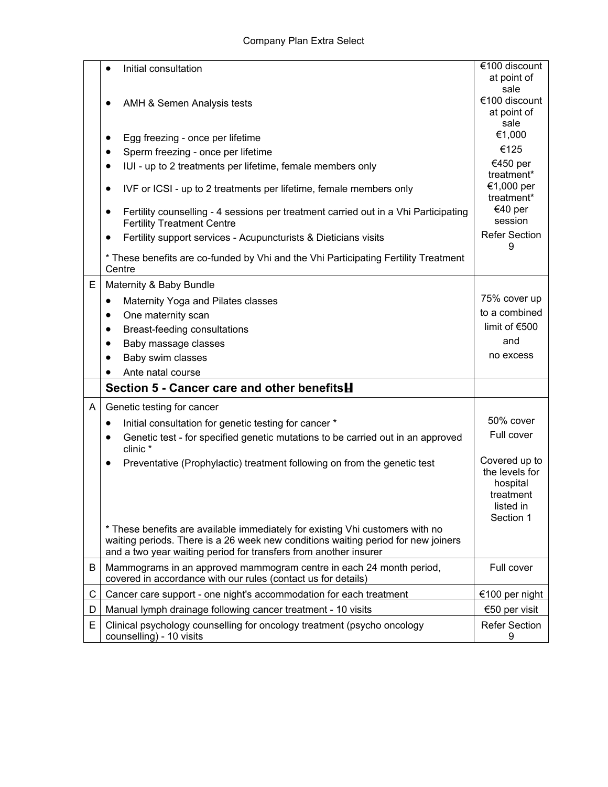|   | Initial consultation                                                                                                                                                                                                                   | €100 discount                                                                      |
|---|----------------------------------------------------------------------------------------------------------------------------------------------------------------------------------------------------------------------------------------|------------------------------------------------------------------------------------|
|   |                                                                                                                                                                                                                                        | at point of                                                                        |
|   | AMH & Semen Analysis tests                                                                                                                                                                                                             | sale<br>€100 discount                                                              |
|   |                                                                                                                                                                                                                                        | at point of                                                                        |
|   |                                                                                                                                                                                                                                        | sale                                                                               |
|   | Egg freezing - once per lifetime<br>$\bullet$                                                                                                                                                                                          | €1,000                                                                             |
|   | Sperm freezing - once per lifetime<br>٠                                                                                                                                                                                                | €125                                                                               |
|   | IUI - up to 2 treatments per lifetime, female members only<br>$\bullet$                                                                                                                                                                | €450 per<br>treatment*                                                             |
|   | IVF or ICSI - up to 2 treatments per lifetime, female members only<br>$\bullet$                                                                                                                                                        | €1,000 per<br>treatment*                                                           |
|   | Fertility counselling - 4 sessions per treatment carried out in a Vhi Participating<br>$\bullet$<br><b>Fertility Treatment Centre</b>                                                                                                  | €40 per<br>session                                                                 |
|   | Fertility support services - Acupuncturists & Dieticians visits<br>٠                                                                                                                                                                   | <b>Refer Section</b><br>9                                                          |
|   | * These benefits are co-funded by Vhi and the Vhi Participating Fertility Treatment<br>Centre                                                                                                                                          |                                                                                    |
| Е | Maternity & Baby Bundle                                                                                                                                                                                                                |                                                                                    |
|   | Maternity Yoga and Pilates classes<br>٠                                                                                                                                                                                                | 75% cover up                                                                       |
|   | One maternity scan<br>$\bullet$                                                                                                                                                                                                        | to a combined                                                                      |
|   | Breast-feeding consultations<br>$\bullet$                                                                                                                                                                                              | limit of €500                                                                      |
|   | Baby massage classes<br>$\bullet$                                                                                                                                                                                                      | and                                                                                |
|   | Baby swim classes                                                                                                                                                                                                                      | no excess                                                                          |
|   | Ante natal course                                                                                                                                                                                                                      |                                                                                    |
|   | Section 5 - Cancer care and other benefitsH                                                                                                                                                                                            |                                                                                    |
| A | Genetic testing for cancer                                                                                                                                                                                                             |                                                                                    |
|   |                                                                                                                                                                                                                                        | 50% cover                                                                          |
|   | Initial consultation for genetic testing for cancer *<br>٠                                                                                                                                                                             | Full cover                                                                         |
|   | Genetic test - for specified genetic mutations to be carried out in an approved<br>$\bullet$<br>clinic *                                                                                                                               |                                                                                    |
|   | Preventative (Prophylactic) treatment following on from the genetic test                                                                                                                                                               | Covered up to<br>the levels for<br>hospital<br>treatment<br>listed in<br>Section 1 |
|   | * These benefits are available immediately for existing Vhi customers with no<br>waiting periods. There is a 26 week new conditions waiting period for new joiners<br>and a two year waiting period for transfers from another insurer |                                                                                    |
| B | Mammograms in an approved mammogram centre in each 24 month period,<br>covered in accordance with our rules (contact us for details)                                                                                                   | Full cover                                                                         |
| C | Cancer care support - one night's accommodation for each treatment                                                                                                                                                                     | €100 per night                                                                     |
| D | Manual lymph drainage following cancer treatment - 10 visits                                                                                                                                                                           | €50 per visit                                                                      |
| E | Clinical psychology counselling for oncology treatment (psycho oncology<br>counselling) - 10 visits                                                                                                                                    | <b>Refer Section</b><br>9                                                          |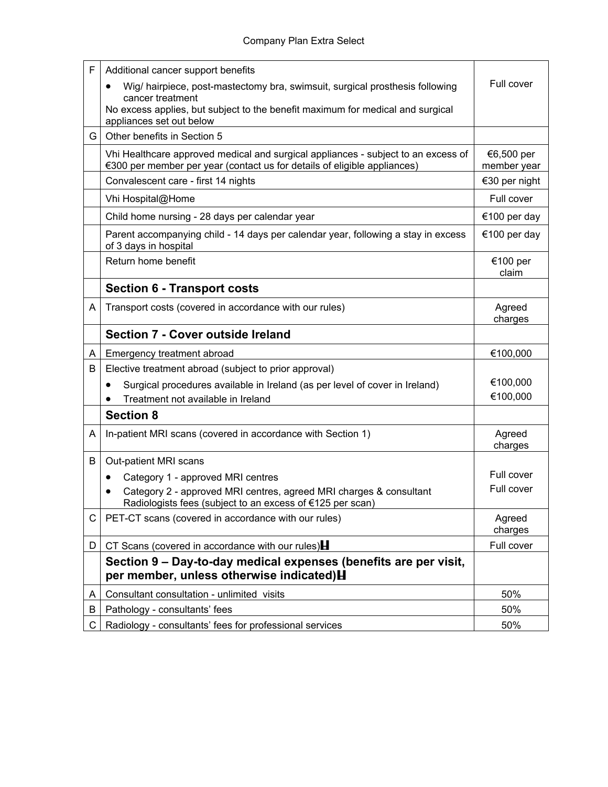| F | Additional cancer support benefits                                                                                                                            |                           |
|---|---------------------------------------------------------------------------------------------------------------------------------------------------------------|---------------------------|
|   | Wig/ hairpiece, post-mastectomy bra, swimsuit, surgical prosthesis following<br>cancer treatment                                                              | Full cover                |
|   | No excess applies, but subject to the benefit maximum for medical and surgical<br>appliances set out below                                                    |                           |
| G | Other benefits in Section 5                                                                                                                                   |                           |
|   | Vhi Healthcare approved medical and surgical appliances - subject to an excess of<br>€300 per member per year (contact us for details of eligible appliances) | €6,500 per<br>member year |
|   | Convalescent care - first 14 nights                                                                                                                           | €30 per night             |
|   | Vhi Hospital@Home                                                                                                                                             | Full cover                |
|   | Child home nursing - 28 days per calendar year                                                                                                                | €100 per day              |
|   | Parent accompanying child - 14 days per calendar year, following a stay in excess<br>of 3 days in hospital                                                    | €100 per day              |
|   | Return home benefit                                                                                                                                           | €100 per<br>claim         |
|   | <b>Section 6 - Transport costs</b>                                                                                                                            |                           |
| A | Transport costs (covered in accordance with our rules)                                                                                                        | Agreed<br>charges         |
|   | <b>Section 7 - Cover outside Ireland</b>                                                                                                                      |                           |
| A | Emergency treatment abroad                                                                                                                                    | €100,000                  |
| B | Elective treatment abroad (subject to prior approval)                                                                                                         |                           |
|   | Surgical procedures available in Ireland (as per level of cover in Ireland)<br>$\bullet$                                                                      | €100,000                  |
|   | Treatment not available in Ireland                                                                                                                            | €100,000                  |
|   | <b>Section 8</b>                                                                                                                                              |                           |
| A | In-patient MRI scans (covered in accordance with Section 1)                                                                                                   | Agreed<br>charges         |
| B | Out-patient MRI scans                                                                                                                                         |                           |
|   | Category 1 - approved MRI centres                                                                                                                             | Full cover                |
|   | Category 2 - approved MRI centres, agreed MRI charges & consultant<br>$\bullet$<br>Radiologists fees (subject to an excess of €125 per scan)                  | Full cover                |
| C | PET-CT scans (covered in accordance with our rules)                                                                                                           | Agreed<br>charges         |
| D | CT Scans (covered in accordance with our rules) $\blacksquare$                                                                                                | Full cover                |
|   | Section 9 – Day-to-day medical expenses (benefits are per visit,<br>per member, unless otherwise indicated) H                                                 |                           |
| A | Consultant consultation - unlimited visits                                                                                                                    | 50%                       |
| B | Pathology - consultants' fees                                                                                                                                 | 50%                       |
| C | Radiology - consultants' fees for professional services                                                                                                       | 50%                       |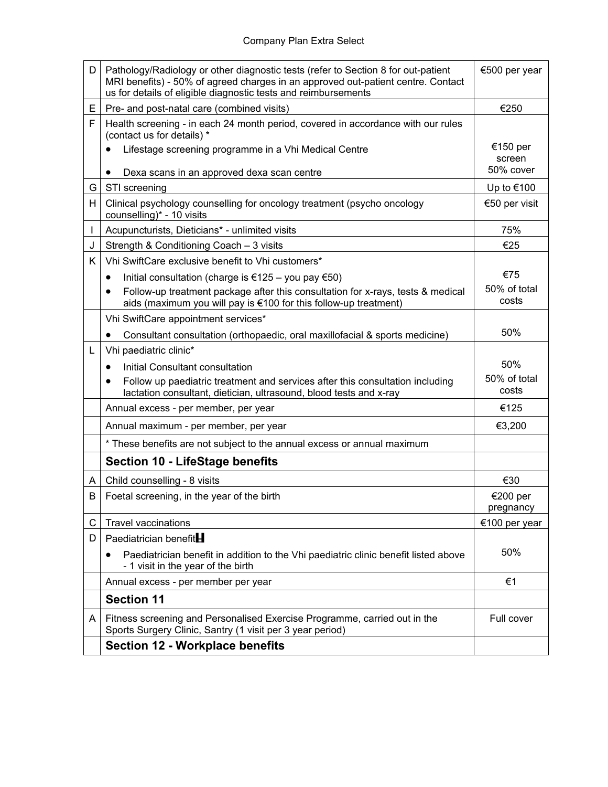| D | Pathology/Radiology or other diagnostic tests (refer to Section 8 for out-patient<br>MRI benefits) - 50% of agreed charges in an approved out-patient centre. Contact<br>us for details of eligible diagnostic tests and reimbursements | €500 per year         |
|---|-----------------------------------------------------------------------------------------------------------------------------------------------------------------------------------------------------------------------------------------|-----------------------|
| E | Pre- and post-natal care (combined visits)                                                                                                                                                                                              | €250                  |
| F | Health screening - in each 24 month period, covered in accordance with our rules<br>(contact us for details) *                                                                                                                          |                       |
|   | Lifestage screening programme in a Vhi Medical Centre                                                                                                                                                                                   | €150 per<br>screen    |
|   | Dexa scans in an approved dexa scan centre<br>$\bullet$                                                                                                                                                                                 | 50% cover             |
| G | STI screening                                                                                                                                                                                                                           | Up to €100            |
| H | Clinical psychology counselling for oncology treatment (psycho oncology<br>counselling)* - 10 visits                                                                                                                                    | €50 per visit         |
| L | Acupuncturists, Dieticians* - unlimited visits                                                                                                                                                                                          | 75%                   |
| J | Strength & Conditioning Coach - 3 visits                                                                                                                                                                                                | €25                   |
| K | Vhi SwiftCare exclusive benefit to Vhi customers*                                                                                                                                                                                       |                       |
|   | Initial consultation (charge is €125 – you pay €50)<br>$\bullet$                                                                                                                                                                        | €75                   |
|   | Follow-up treatment package after this consultation for x-rays, tests & medical<br>$\bullet$<br>aids (maximum you will pay is €100 for this follow-up treatment)                                                                        | 50% of total<br>costs |
|   | Vhi SwiftCare appointment services*                                                                                                                                                                                                     |                       |
|   | Consultant consultation (orthopaedic, oral maxillofacial & sports medicine)<br>$\bullet$                                                                                                                                                | 50%                   |
| L | Vhi paediatric clinic*                                                                                                                                                                                                                  |                       |
|   | Initial Consultant consultation<br>$\bullet$                                                                                                                                                                                            | 50%                   |
|   | Follow up paediatric treatment and services after this consultation including<br>$\bullet$<br>lactation consultant, dietician, ultrasound, blood tests and x-ray                                                                        | 50% of total<br>costs |
|   | Annual excess - per member, per year                                                                                                                                                                                                    | €125                  |
|   | Annual maximum - per member, per year                                                                                                                                                                                                   | €3,200                |
|   | * These benefits are not subject to the annual excess or annual maximum                                                                                                                                                                 |                       |
|   | <b>Section 10 - LifeStage benefits</b>                                                                                                                                                                                                  |                       |
| A | Child counselling - 8 visits                                                                                                                                                                                                            | €30                   |
| B | Foetal screening, in the year of the birth                                                                                                                                                                                              | €200 per<br>pregnancy |
| C | <b>Travel vaccinations</b>                                                                                                                                                                                                              | €100 per year         |
| D | Paediatrician benefit <sup>H</sup>                                                                                                                                                                                                      |                       |
|   | Paediatrician benefit in addition to the Vhi paediatric clinic benefit listed above<br>- 1 visit in the year of the birth                                                                                                               | 50%                   |
|   | Annual excess - per member per year                                                                                                                                                                                                     | €1                    |
|   | <b>Section 11</b>                                                                                                                                                                                                                       |                       |
| A | Fitness screening and Personalised Exercise Programme, carried out in the<br>Sports Surgery Clinic, Santry (1 visit per 3 year period)                                                                                                  | Full cover            |
|   | <b>Section 12 - Workplace benefits</b>                                                                                                                                                                                                  |                       |